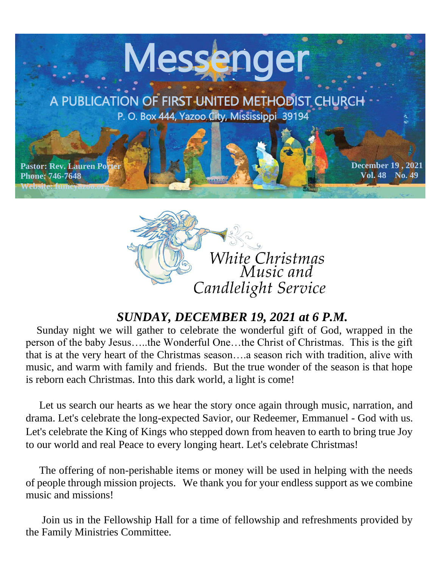



### *SUNDAY, DECEMBER 19, 2021 at 6 P.M.*

 Sunday night we will gather to celebrate the wonderful gift of God, wrapped in the person of the baby Jesus…..the Wonderful One…the Christ of Christmas. This is the gift that is at the very heart of the Christmas season….a season rich with tradition, alive with music, and warm with family and friends. But the true wonder of the season is that hope is reborn each Christmas. Into this dark world, a light is come!

 Let us search our hearts as we hear the story once again through music, narration, and drama. Let's celebrate the long-expected Savior, our Redeemer, Emmanuel - God with us. Let's celebrate the King of Kings who stepped down from heaven to earth to bring true Joy to our world and real Peace to every longing heart. Let's celebrate Christmas!

 The offering of non-perishable items or money will be used in helping with the needs of people through mission projects. We thank you for your endless support as we combine music and missions!

 Join us in the Fellowship Hall for a time of fellowship and refreshments provided by the Family Ministries Committee.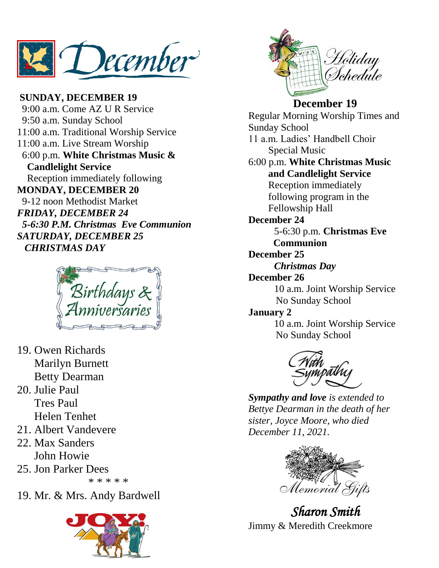December

**SUNDAY, DECEMBER 19** 9:00 a.m. Come AZ U R Service 9:50 a.m. Sunday School 11:00 a.m. Traditional Worship Service 11:00 a.m. Live Stream Worship 6:00 p.m. **White Christmas Music & Candlelight Service** Reception immediately following **MONDAY, DECEMBER 20** 9-12 noon Methodist Market *FRIDAY, DECEMBER 24 5-6:30 P.M. Christmas Eve Communion SATURDAY, DECEMBER 25 CHRISTMAS DAY*



- 19. Owen Richards Marilyn Burnett Betty Dearman
- 20. Julie Paul Tres Paul Helen Tenhet
- 21. Albert Vandevere
- 22. Max Sanders John Howie
- 25. Jon Parker Dees \* \* \* \* \*

19. Mr. & Mrs. Andy Bardwell





#### **December 19**

Regular Morning Worship Times and Sunday School 11 a.m. Ladies' Handbell Choir Special Music 6:00 p.m. **White Christmas Music and Candlelight Service** Reception immediately following program in the Fellowship Hall **December 24** 5-6:30 p.m. **Christmas Eve Communion December 25** *Christmas Day* **December 26** 10 a.m. Joint Worship Service No Sunday School **January 2** 10 a.m. Joint Worship Service No Sunday School



*Sympathy and love is extended to Bettye Dearman in the death of her sister, Joyce Moore, who died December 11, 2021.*



*Sharon Smith*  Jimmy & Meredith Creekmore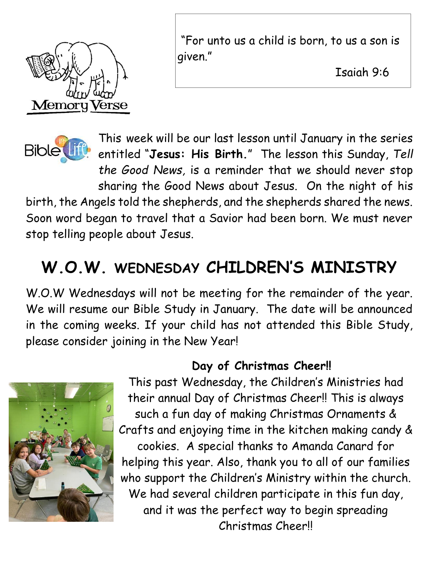

"For unto us a child is born, to us a son is given."

Isaiah 9:6

<u>April 11, 2021</u>



This week will be our last lesson until January in the series entitled "**Jesus: His Birth.**" The lesson this Sunday, *Tell the Good News,* is a reminder that we should never stop sharing the Good News about Jesus. On the night of his

birth, the Angels told the shepherds, and the shepherds shared the news. Soon word began to travel that a Savior had been born. We must never stop telling people about Jesus.

# **W.O.W. WEDNESDAY CHILDREN'S MINISTRY**

W.O.W Wednesdays will not be meeting for the remainder of the year. We will resume our Bible Study in January. The date will be announced in the coming weeks. If your child has not attended this Bible Study, please consider joining in the New Year!



## **Day of Christmas Cheer!!**

This past Wednesday, the Children's Ministries had their annual Day of Christmas Cheer!! This is always such a fun day of making Christmas Ornaments & Crafts and enjoying time in the kitchen making candy & cookies. A special thanks to Amanda Canard for helping this year. Also, thank you to all of our families who support the Children's Ministry within the church. We had several children participate in this fun day, and it was the perfect way to begin spreading Christmas Cheer!!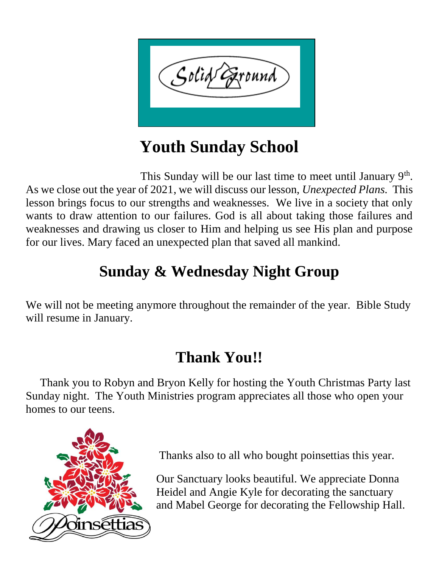

# **Youth Sunday School**

This Sunday will be our last time to meet until January  $9<sup>th</sup>$ . As we close out the year of 2021, we will discuss our lesson, *Unexpected Plans.* This lesson brings focus to our strengths and weaknesses. We live in a society that only wants to draw attention to our failures. God is all about taking those failures and weaknesses and drawing us closer to Him and helping us see His plan and purpose for our lives. Mary faced an unexpected plan that saved all mankind.

# **Sunday & Wednesday Night Group**

We will not be meeting anymore throughout the remainder of the year. Bible Study will resume in January.

# **Thank You!!**

 Thank you to Robyn and Bryon Kelly for hosting the Youth Christmas Party last Sunday night. The Youth Ministries program appreciates all those who open your homes to our teens.



Thanks also to all who bought poinsettias this year.

Our Sanctuary looks beautiful. We appreciate Donna Heidel and Angie Kyle for decorating the sanctuary and Mabel George for decorating the Fellowship Hall.